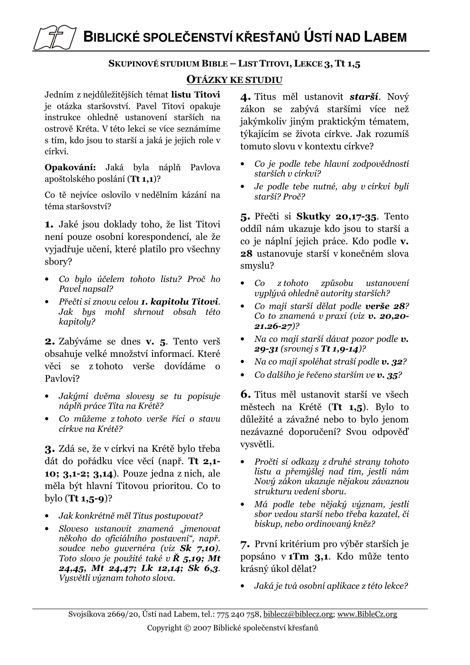BIBLICKÉ SPOLEČENSTVÍ KŘESŤANŮ ÚSTÍ NAD LABEM

## SKUPINOVÉ STUDIUM BIBLE – LIST TITOVI, LEKCE 3, Tt 1,5

## **OTÁZKY KE STUDIU**

Jedním z nejdůležitějších témat listu Titovi je otázka staršovství. Pavel Titovi opakuje instrukce ohledně ustanovení starších na ostrově Kréta. V této lekci se více seznámíme s tím, kdo jsou to starší a jaká je jejich role v církvi.

Opakování: Jaká byla náplň Pavlova apoštolského poslání (Tt 1.1)?

Co tě nejvíce oslovilo v nedělním kázání na téma staršovství?

1. Jaké jsou doklady toho, že list Titovi není pouze osobní korespondencí, ale že vyjadřuje učení, které platilo pro všechny sbory?

- · Co bylo účelem tohoto listu? Proč ho Pavel napsal?
- Přečti si znovu celou 1. kapitolu Titovi. Jak bys mohl shrnout obsah této kapitoly?

2. Zabýváme se dnes v. 5. Tento verš obsahuje velké množství informací. Které věci se z tohoto verše dovídáme o Paylovi?

- Jakými dvěma slovesy se tu popisuje náplň práce Tita na Krétě?
- Co můžeme z tohoto verše říci o stavu církve na Krétě?

3. Zdá se, že v církvi na Krétě bylo třeba dát do pořádku více věcí (např. Tt 2,1-10; 3,1-2; 3,14). Pouze jedna z nich, ale měla být hlavní Titovou prioritou. Co to bylo  $(Tt 1, 5-9)$ ?

- Jak konkrétně měl Titus postupovat?
- Sloveso ustanovit znamená "jmenovat někoho do oficiálního postavení", např. soudce nebo quvernéra (viz Sk 7,10). Toto slovo je použité také v  $\check{R}$  5,19; Mt 24,45, Mt 24,47; Lk 12,14; Sk 6,3. Vysvětli význam tohoto slova.

4. Titus měl ustanovit starší. Nový zákon se zabývá staršími více než jakýmkoliv jiným praktickým tématem, týkajícím se života církve. Jak rozumíš tomuto slovu v kontextu církve?

- Co je podle tebe hlavní zodpovědností starších v církvi?
- Je podle tebe nutné, aby v církvi byli starší? Proč?

5. Přečti si Skutky 20,17-35. Tento oddíl nám ukazuje kdo jsou to starší a co je náplní jejich práce. Kdo podle v. 28 ustanovuje starší v konečném slova smyslu?

- $Co$  z tohoto způsobu ustanovení vyplývá ohledně autority starších?
- Co mají starší dělat podle verše 28? Co to znamená v praxi (viz v. 20,20- $21.26 - 27$ ?
- Na co mají starší dávat pozor podle v. 29-31 (srovnej s Tt 1,9-14)?
- Na co mají spoléhat straší podle v. 32?
- Co dalšího je řečeno starším ve v. 35?

**6.** Titus měl ustanovit starší ve všech městech na Krétě (Tt 1,5). Bylo to důležité a závažné nebo to bylo jenom nezávazné doporučení? Svou odpověď vysvětli.

- Pročti si odkazy z druhé strany tohoto listu a přemúšlej nad tím, jestli nám Nový zákon ukazuje nějakou závaznou strukturu vedení sboru.
- Má podle tebe nějaký význam, jestli sbor vedou starší nebo třeba kazatel, či biskup, nebo ordinovaný kněz?

7. První kritérium pro výběr starších je popsáno v 1Tm 3,1. Kdo může tento krásný úkol dělat?

Jaká je tvá osobní aplikace z této lekce?